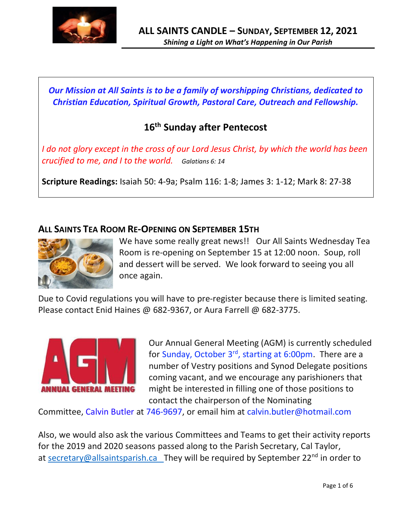

*Our Mission at All Saints is to be a family of worshipping Christians, dedicated to Christian Education, Spiritual Growth, Pastoral Care, Outreach and Fellowship.*

# **16 th Sunday after Pentecost**

*I do not glory except in the cross of our Lord Jesus Christ, by which the world has been crucified to me, and I to the world. Galatians 6: 14*

**Scripture Readings:** Isaiah 50: 4-9a; Psalm 116: 1-8; James 3: 1-12; Mark 8: 27-38

#### **ALL SAINTS TEA ROOM RE-OPENING ON SEPTEMBER 15TH**



We have some really great news!! Our All Saints Wednesday Tea Room is re-opening on September 15 at 12:00 noon. Soup, roll and dessert will be served. We look forward to seeing you all once again.

Due to Covid regulations you will have to pre-register because there is limited seating. Please contact Enid Haines @ 682-9367, or Aura Farrell @ 682-3775.



Our Annual General Meeting (AGM) is currently scheduled for Sunday, October 3rd, starting at 6:00pm. There are a number of Vestry positions and Synod Delegate positions coming vacant, and we encourage any parishioners that might be interested in filling one of those positions to contact the chairperson of the Nominating

Committee, Calvin Butler at 746-9697, or email him at calvin.butler@hotmail.com

Also, we would also ask the various Committees and Teams to get their activity reports for the 2019 and 2020 seasons passed along to the Parish Secretary, Cal Taylor, at [secretary@allsaintsparish.ca](mailto:secretary@allsaintsparish.ca?subject=Vestry%20Nominations) They will be required by September 22<sup>nd</sup> in order to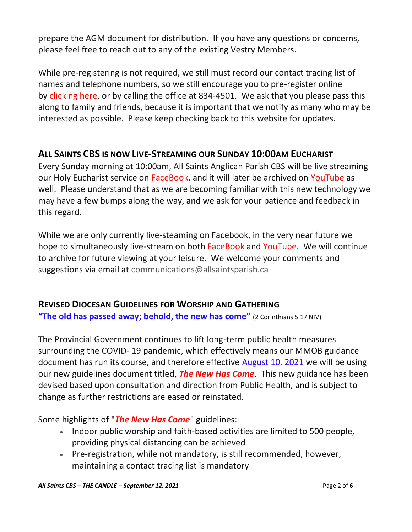prepare the AGM document for distribution. If you have any questions or concerns, please feel free to reach out to any of the existing Vestry Members.

While pre-registering is not required, we still must record our contact tracing list of names and telephone numbers, so we still encourage you to pre-register online by [clicking here,](http://allsaintsparish.ca/covid-pre-registration-form_1) or by calling the office at 834-4501. We ask that you please pass this along to family and friends, because it is important that we notify as many who may be interested as possible. Please keep checking back to this website for updates.

## **ALL SAINTS CBS IS NOW LIVE-STREAMING OUR SUNDAY 10:00AM EUCHARIST**

Every Sunday morning at 10:00am, All Saints Anglican Parish CBS will be live streaming our Holy Eucharist service on [FaceBook,](https://www.facebook.com/AllSaintsAnglicanChurchCBS) and it will later be archived on [YouTube](https://www.youtube.com/results?search_query=all+saints+anglican+parish+cbs) as well. Please understand that as we are becoming familiar with this new technology we may have a few bumps along the way, and we ask for your patience and feedback in this regard.

While we are only currently live-steaming on Facebook, in the very near future we hope to simultaneously live-stream on both [FaceBook](https://www.facebook.com/AllSaintsAnglicanChurchCBS) and [YouTube.](https://www.youtube.com/results?search_query=all+saints+anglican+parish+cbs) We will continue to archive for future viewing at your leisure. We welcome your comments and suggestions via email at [communications@allsaintsparish.ca](mailto:communications@allsaintsparish.ca)

## **REVISED DIOCESAN GUIDELINES FOR WORSHIP AND GATHERING**

**"The old has passed away; behold, the new has come"** (2 Corinthians 5.17 NIV)

The Provincial Government continues to lift long-term public health measures surrounding the COVID- 19 pandemic, which effectively means our MMOB guidance document has run its course, and therefore effective August 10, 2021 we will be using our new guidelines document titled, *[The New Has Come](https://anglicanenl.net/home/wp-content/uploads/2021/08/The-New-Has-Come-August-10-2021.pdf?fbclid=IwAR2_9nhbxB2LEc3XOqAP_nvoRu4G5Mt6NWIYwOEYNI0OtUl0atv2QwCfCY0)*. This new guidance has been devised based upon consultation and direction from Public Health, and is subject to change as further restrictions are eased or reinstated.

Some highlights of "*[The New Has Come](https://anglicanenl.net/home/wp-content/uploads/2021/08/The-New-Has-Come-August-10-2021.pdf?fbclid=IwAR2_9nhbxB2LEc3XOqAP_nvoRu4G5Mt6NWIYwOEYNI0OtUl0atv2QwCfCY0)*" guidelines:

- Indoor public worship and faith-based activities are limited to 500 people, providing physical distancing can be achieved
- Pre-registration, while not mandatory, is still recommended, however, maintaining a contact tracing list is mandatory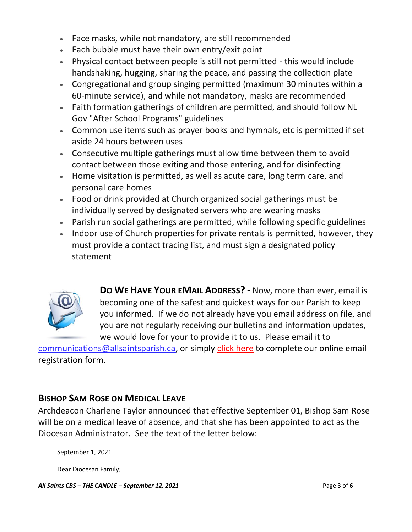- Face masks, while not mandatory, are still recommended
- Each bubble must have their own entry/exit point
- Physical contact between people is still not permitted this would include handshaking, hugging, sharing the peace, and passing the collection plate
- Congregational and group singing permitted (maximum 30 minutes within a 60-minute service), and while not mandatory, masks are recommended
- Faith formation gatherings of children are permitted, and should follow NL Gov "After School Programs" guidelines
- Common use items such as prayer books and hymnals, etc is permitted if set aside 24 hours between uses
- Consecutive multiple gatherings must allow time between them to avoid contact between those exiting and those entering, and for disinfecting
- Home visitation is permitted, as well as acute care, long term care, and personal care homes
- Food or drink provided at Church organized social gatherings must be individually served by designated servers who are wearing masks
- Parish run social gatherings are permitted, while following specific guidelines
- Indoor use of Church properties for private rentals is permitted, however, they must provide a contact tracing list, and must sign a designated policy statement



**DO WE HAVE YOUR EMAIL ADDRESS?** - Now, more than ever, email is becoming one of the safest and quickest ways for our Parish to keep you informed. If we do not already have you email address on file, and you are not regularly receiving our bulletins and information updates, we would love for your to provide it to us. Please email it to

[communications@allsaintsparish.ca,](mailto:communications@allsaintsparish.ca?subject=eMail%20Address%20Update) or simply [click here](http://allsaintsparish.ca/email_updates) to complete our online email registration form.

## **BISHOP SAM ROSE ON MEDICAL LEAVE**

Archdeacon Charlene Taylor announced that effective September 01, Bishop Sam Rose will be on a medical leave of absence, and that she has been appointed to act as the Diocesan Administrator. See the text of the letter below:

September 1, 2021

Dear Diocesan Family;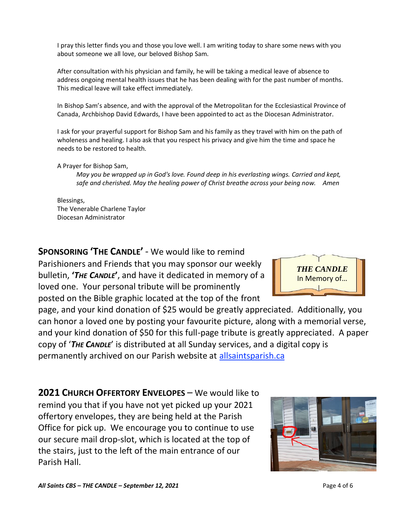I pray this letter finds you and those you love well. I am writing today to share some news with you about someone we all love, our beloved Bishop Sam.

After consultation with his physician and family, he will be taking a medical leave of absence to address ongoing mental health issues that he has been dealing with for the past number of months. This medical leave will take effect immediately.

In Bishop Sam's absence, and with the approval of the Metropolitan for the Ecclesiastical Province of Canada, Archbishop David Edwards, I have been appointed to act as the Diocesan Administrator.

I ask for your prayerful support for Bishop Sam and his family as they travel with him on the path of wholeness and healing. I also ask that you respect his privacy and give him the time and space he needs to be restored to health.

#### A Prayer for Bishop Sam,

*May you be wrapped up in God's love. Found deep in his everlasting wings. Carried and kept, safe and cherished. May the healing power of Christ breathe across your being now. Amen* 

Blessings, The Venerable Charlene Taylor Diocesan Administrator

#### **SPONSORING 'THE CANDLE'** - We would like to remind

Parishioners and Friends that you may sponsor our weekly bulletin, **'***THE CANDLE***'**, and have it dedicated in memory of a loved one. Your personal tribute will be prominently posted on the Bible graphic located at the top of the front

page, and your kind donation of \$25 would be greatly appreciated. Additionally, you can honor a loved one by posting your favourite picture, along with a memorial verse, and your kind donation of \$50 for this full-page tribute is greatly appreciated. A paper copy of '*THE CANDLE*' is distributed at all Sunday services, and a digital copy is permanently archived on our Parish website at [allsaintsparish.ca](http://allsaintsparish.ca/thecandle.html)

**2021 CHURCH OFFERTORY ENVELOPES** – We would like to remind you that if you have not yet picked up your 2021 offertory envelopes, they are being held at the Parish Office for pick up. We encourage you to continue to use our secure mail drop-slot, which is located at the top of the stairs, just to the left of the main entrance of our Parish Hall.





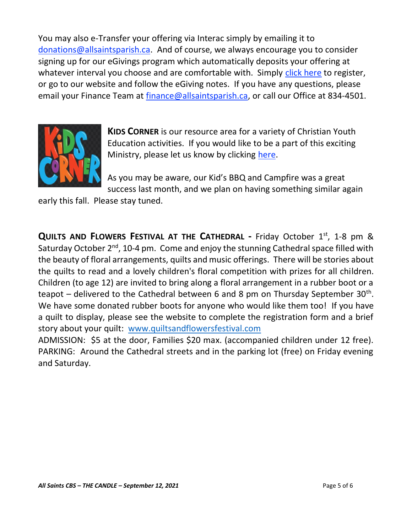You may also e-Transfer your offering via Interac simply by emailing it to [donations@allsaintsparish.ca.](mailto:donations@allsaintsparish.ca) And of course, we always encourage you to consider signing up for our eGivings program which automatically deposits your offering at whatever interval you choose and are comfortable with. Simply [click here](http://allsaintsparish.ca/egiving-online-information-form) to register, or go to our website and follow the eGiving notes. If you have [any](https://wfsites-to.websitecreatorprotool.com/870a5dd5.com/Admin/%7BSK_NODEID__22939341__SK%7D) questions, please email your Finance Team at [finance@allsaintsparish.ca,](mailto:finance@allsaintsparish.ca) or call our Office at 834-4501.



**KIDS CORNER** is our resource area for a variety of Christian Youth Education activities. If you would like to be a part of this exciting Ministry, please let us know by clicking [here.](http://allsaintsparish.ca/index.html#comments)

As you may be aware, our Kid's BBQ and Campfire was a great success last month, and we plan on having something similar again

early this fall. Please stay tuned.

**QUILTS AND FLOWERS FESTIVAL AT THE CATHEDRAL -** Friday October 1st, 1-8 pm & Saturday October  $2^{nd}$ , 10-4 pm. Come and enjoy the stunning Cathedral space filled with the beauty of floral arrangements, quilts and music offerings. There will be stories about the quilts to read and a lovely children's floral competition with prizes for all children. Children (to age 12) are invited to bring along a floral arrangement in a rubber boot or a teapot – delivered to the Cathedral between 6 and 8 pm on Thursday September 30<sup>th</sup>. We have some donated rubber boots for anyone who would like them too! If you have a quilt to display, please see the website to complete the registration form and a brief story about your quilt: [www.quiltsandflowersfestival.com](http://www.quiltsandflowersfestival.com/)

ADMISSION: \$5 at the door, Families \$20 max. (accompanied children under 12 free). PARKING: Around the Cathedral streets and in the parking lot (free) on Friday evening and Saturday.